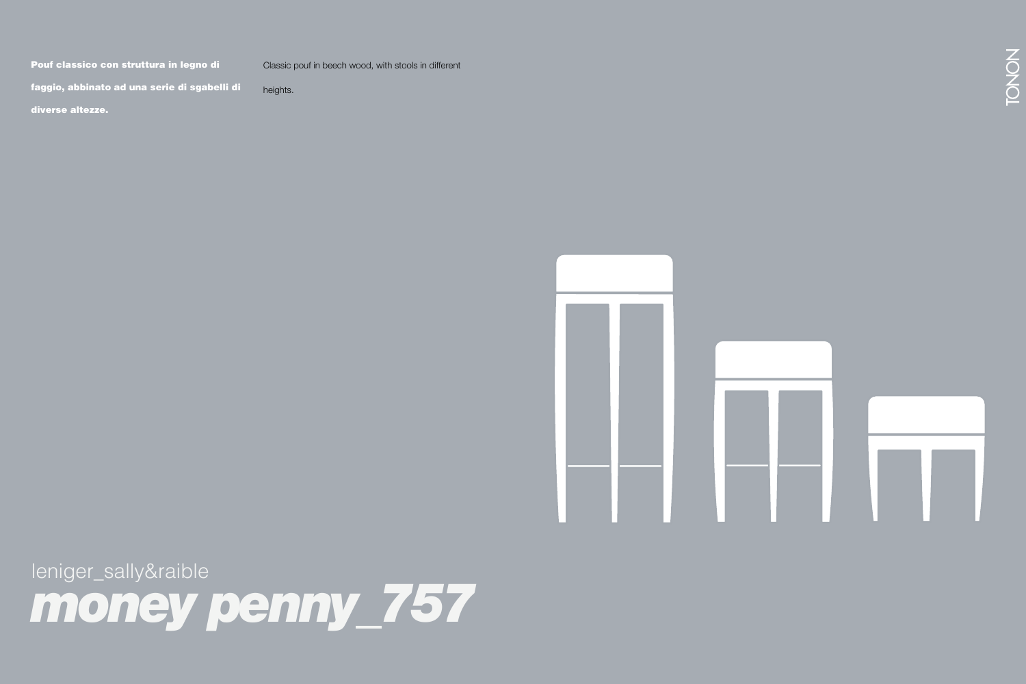Pouf classico con struttura in legno di

Classic pouf in beech wood, with stools in different

a new version. The shell in the technical soft heights.

faggio, abbinato ad una serie di sgabelli di

diverse altezze. In materiale e soft touch è soft touch è soft touch è soft touch e



leniger\_sally&raible *money penny\_757*